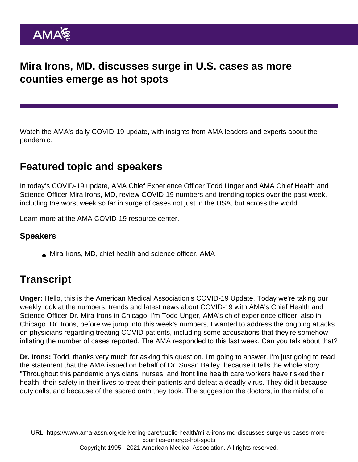## Mira Irons, MD, discusses surge in U.S. cases as more counties emerge as hot spots

Watch the AMA's daily COVID-19 update, with insights from AMA leaders and experts about the pandemic.

## Featured topic and speakers

In today's COVID-19 update, AMA Chief Experience Officer Todd Unger and AMA Chief Health and Science Officer Mira Irons, MD, review COVID-19 numbers and trending topics over the past week, including the worst week so far in surge of cases not just in the USA, but across the world.

Learn more at the [AMA COVID-19 resource center](https://www.ama-assn.org/delivering-care/public-health/covid-19-2019-novel-coronavirus-resource-center-physicians).

## Speakers

Mira Irons, MD, chief health and science officer, AMA

## **Transcript**

Unger: Hello, this is the American Medical Association's COVID-19 Update. Today we're taking our weekly look at the numbers, trends and latest news about COVID-19 with AMA's Chief Health and Science Officer Dr. Mira Irons in Chicago. I'm Todd Unger, AMA's chief experience officer, also in Chicago. Dr. Irons, before we jump into this week's numbers, I wanted to address the ongoing attacks on physicians regarding treating COVID patients, including some accusations that they're somehow inflating the number of cases reported. The AMA responded to this last week. Can you talk about that?

Dr. Irons: Todd, thanks very much for asking this question. I'm going to answer. I'm just going to read the statement that the AMA issued on behalf of Dr. Susan Bailey, because it tells the whole story. "Throughout this pandemic physicians, nurses, and front line health care workers have risked their health, their safety in their lives to treat their patients and defeat a deadly virus. They did it because duty calls, and because of the sacred oath they took. The suggestion the doctors, in the midst of a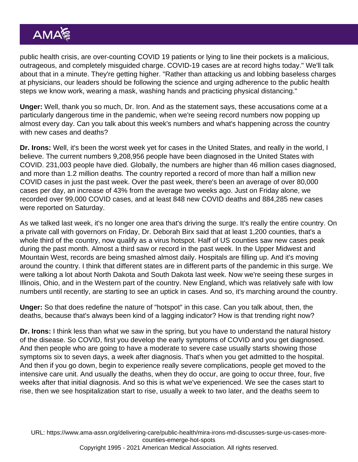public health crisis, are over-counting COVID 19 patients or lying to line their pockets is a malicious, outrageous, and completely misguided charge. COVID-19 cases are at record highs today." We'll talk about that in a minute. They're getting higher. "Rather than attacking us and lobbing baseless charges at physicians, our leaders should be following the science and urging adherence to the public health steps we know work, wearing a mask, washing hands and practicing physical distancing."

Unger: Well, thank you so much, Dr. Iron. And as the statement says, these accusations come at a particularly dangerous time in the pandemic, when we're seeing record numbers now popping up almost every day. Can you talk about this week's numbers and what's happening across the country with new cases and deaths?

Dr. Irons: Well, it's been the worst week yet for cases in the United States, and really in the world, I believe. The current numbers 9,208,956 people have been diagnosed in the United States with COVID. 231,003 people have died. Globally, the numbers are higher than 46 million cases diagnosed, and more than 1.2 million deaths. The country reported a record of more than half a million new COVID cases in just the past week. Over the past week, there's been an average of over 80,000 cases per day, an increase of 43% from the average two weeks ago. Just on Friday alone, we recorded over 99,000 COVID cases, and at least 848 new COVID deaths and 884,285 new cases were reported on Saturday.

As we talked last week, it's no longer one area that's driving the surge. It's really the entire country. On a private call with governors on Friday, Dr. Deborah Birx said that at least 1,200 counties, that's a whole third of the country, now qualify as a virus hotspot. Half of US counties saw new cases peak during the past month. Almost a third saw or record in the past week. In the Upper Midwest and Mountain West, records are being smashed almost daily. Hospitals are filling up. And it's moving around the country. I think that different states are in different parts of the pandemic in this surge. We were talking a lot about North Dakota and South Dakota last week. Now we're seeing these surges in Illinois, Ohio, and in the Western part of the country. New England, which was relatively safe with low numbers until recently, are starting to see an uptick in cases. And so, it's marching around the country.

Unger: So that does redefine the nature of "hotspot" in this case. Can you talk about, then, the deaths, because that's always been kind of a lagging indicator? How is that trending right now?

Dr. Irons: I think less than what we saw in the spring, but you have to understand the natural history of the disease. So COVID, first you develop the early symptoms of COVID and you get diagnosed. And then people who are going to have a moderate to severe case usually starts showing those symptoms six to seven days, a week after diagnosis. That's when you get admitted to the hospital. And then if you go down, begin to experience really severe complications, people get moved to the intensive care unit. And usually the deaths, when they do occur, are going to occur three, four, five weeks after that initial diagnosis. And so this is what we've experienced. We see the cases start to rise, then we see hospitalization start to rise, usually a week to two later, and the deaths seem to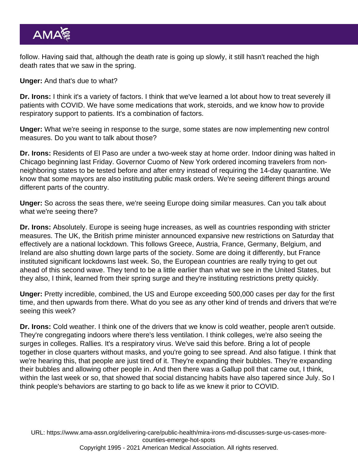follow. Having said that, although the death rate is going up slowly, it still hasn't reached the high death rates that we saw in the spring.

Unger: And that's due to what?

Dr. Irons: I think it's a variety of factors. I think that we've learned a lot about how to treat severely ill patients with COVID. We have some medications that work, steroids, and we know how to provide respiratory support to patients. It's a combination of factors.

Unger: What we're seeing in response to the surge, some states are now implementing new control measures. Do you want to talk about those?

Dr. Irons: Residents of El Paso are under a two-week stay at home order. Indoor dining was halted in Chicago beginning last Friday. Governor Cuomo of New York ordered incoming travelers from nonneighboring states to be tested before and after entry instead of requiring the 14-day quarantine. We know that some mayors are also instituting public mask orders. We're seeing different things around different parts of the country.

Unger: So across the seas there, we're seeing Europe doing similar measures. Can you talk about what we're seeing there?

Dr. Irons: Absolutely. Europe is seeing huge increases, as well as countries responding with stricter measures. The UK, the British prime minister announced expansive new restrictions on Saturday that effectively are a national lockdown. This follows Greece, Austria, France, Germany, Belgium, and Ireland are also shutting down large parts of the society. Some are doing it differently, but France instituted significant lockdowns last week. So, the European countries are really trying to get out ahead of this second wave. They tend to be a little earlier than what we see in the United States, but they also, I think, learned from their spring surge and they're instituting restrictions pretty quickly.

Unger: Pretty incredible, combined, the US and Europe exceeding 500,000 cases per day for the first time, and then upwards from there. What do you see as any other kind of trends and drivers that we're seeing this week?

Dr. Irons: Cold weather. I think one of the drivers that we know is cold weather, people aren't outside. They're congregating indoors where there's less ventilation. I think colleges, we're also seeing the surges in colleges. Rallies. It's a respiratory virus. We've said this before. Bring a lot of people together in close quarters without masks, and you're going to see spread. And also fatigue. I think that we're hearing this, that people are just tired of it. They're expanding their bubbles. They're expanding their bubbles and allowing other people in. And then there was a Gallup poll that came out, I think, within the last week or so, that showed that social distancing habits have also tapered since July. So I think people's behaviors are starting to go back to life as we knew it prior to COVID.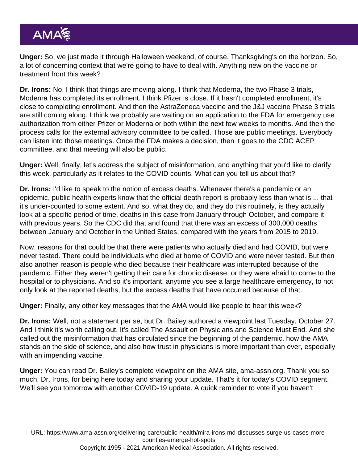Unger: So, we just made it through Halloween weekend, of course. Thanksgiving's on the horizon. So, a lot of concerning context that we're going to have to deal with. Anything new on the vaccine or treatment front this week?

Dr. Irons: No, I think that things are moving along. I think that Moderna, the two Phase 3 trials, Moderna has completed its enrollment. I think Pfizer is close. If it hasn't completed enrollment, it's close to completing enrollment. And then the AstraZeneca vaccine and the J&J vaccine Phase 3 trials are still coming along. I think we probably are waiting on an application to the FDA for emergency use authorization from either Pfizer or Moderna or both within the next few weeks to months. And then the process calls for the external advisory committee to be called. Those are public meetings. Everybody can listen into those meetings. Once the FDA makes a decision, then it goes to the CDC ACEP committee, and that meeting will also be public.

Unger: Well, finally, let's address the subject of misinformation, and anything that you'd like to clarify this week, particularly as it relates to the COVID counts. What can you tell us about that?

Dr. Irons: I'd like to speak to the notion of excess deaths. Whenever there's a pandemic or an epidemic, public health experts know that the official death report is probably less than what is ... that it's under-counted to some extent. And so, what they do, and they do this routinely, is they actually look at a specific period of time, deaths in this case from January through October, and compare it with previous years. So the CDC did that and found that there was an excess of 300,000 deaths between January and October in the United States, compared with the years from 2015 to 2019.

Now, reasons for that could be that there were patients who actually died and had COVID, but were never tested. There could be individuals who died at home of COVID and were never tested. But then also another reason is people who died because their healthcare was interrupted because of the pandemic. Either they weren't getting their care for chronic disease, or they were afraid to come to the hospital or to physicians. And so it's important, anytime you see a large healthcare emergency, to not only look at the reported deaths, but the excess deaths that have occurred because of that.

Unger: Finally, any other key messages that the AMA would like people to hear this week?

Dr. Irons: Well, not a statement per se, but Dr. Bailey authored a viewpoint last Tuesday, October 27. And I think it's worth calling out. It's called The Assault on Physicians and Science Must End. And she called out the misinformation that has circulated since the beginning of the pandemic, how the AMA stands on the side of science, and also how trust in physicians is more important than ever, especially with an impending vaccine.

Unger: You can read Dr. Bailey's complete [viewpoint](https://www.ama-assn.org/about/leadership/assault-physicians-and-science-must-end) on the AMA site, ama-assn.org. Thank you so much, Dr. Irons, for being here today and sharing your update. That's it for today's COVID segment. We'll see you tomorrow with another COVID-19 update. A quick reminder to vote if you haven't